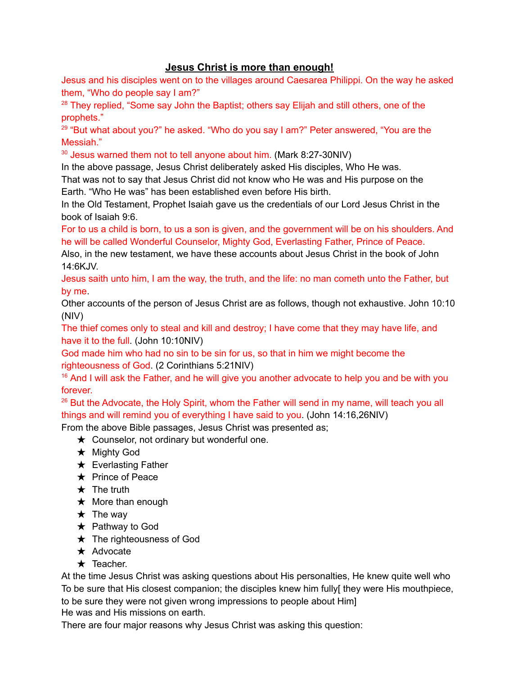## **Jesus Christ is more than enough!**

Jesus and his disciples went on to the villages around Caesarea Philippi. On the way he asked them, "Who do people say I am?"

<sup>28</sup> They replied, "Some say John the Baptist; others say Elijah and still others, one of the prophets."

<sup>29</sup> "But what about you?" he asked. "Who do you say I am?" Peter answered, "You are the Messiah."

 $30$  Jesus warned them not to tell anyone about him. (Mark 8:27-30NIV)

In the above passage, Jesus Christ deliberately asked His disciples, Who He was. That was not to say that Jesus Christ did not know who He was and His purpose on the

Earth. "Who He was" has been established even before His birth.

In the Old Testament, Prophet Isaiah gave us the credentials of our Lord Jesus Christ in the book of Isaiah 9:6.

For to us a child is born, to us a son is given, and the government will be on his shoulders. And he will be called Wonderful Counselor, Mighty God, Everlasting Father, Prince of Peace.

Also, in the new testament, we have these accounts about Jesus Christ in the book of John 14:6KJV.

Jesus saith unto him, I am the way, the truth, and the life: no man cometh unto the Father, but by me.

Other accounts of the person of Jesus Christ are as follows, though not exhaustive. John 10:10 (NIV)

The thief comes only to steal and kill and destroy; I have come that they may have life, and have it to the full. (John 10:10NIV)

God made him who had no sin to be sin for us, so that in him we might become the righteousness of God. (2 Corinthians 5:21NIV)

 $16$  And I will ask the Father, and he will give you another advocate to help you and be with you forever.

<sup>26</sup> But the Advocate, the Holy Spirit, whom the Father will send in my name, will teach you all things and will remind you of everything I have said to you. (John 14:16,26NIV)

From the above Bible passages, Jesus Christ was presented as;

- $\star$  Counselor, not ordinary but wonderful one.
- ★ Mighty God
- $\star$  Everlasting Father
- ★ Prince of Peace
- $\star$  The truth
- $\star$  More than enough
- $\star$  The way
- $\star$  Pathway to God
- ★ The righteousness of God
- ★ Advocate
- ★ Teacher.

At the time Jesus Christ was asking questions about His personalties, He knew quite well who To be sure that His closest companion; the disciples knew him fully[ they were His mouthpiece, to be sure they were not given wrong impressions to people about Him]

He was and His missions on earth.

There are four major reasons why Jesus Christ was asking this question: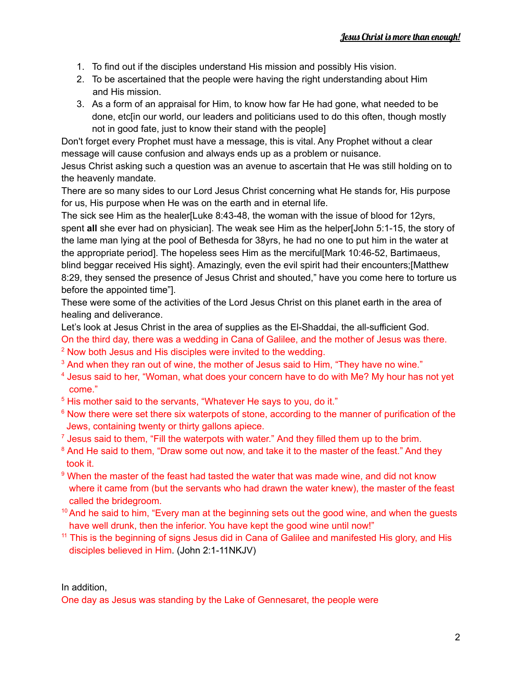- 1. To find out if the disciples understand His mission and possibly His vision.
- 2. To be ascertained that the people were having the right understanding about Him and His mission.
- 3. As a form of an appraisal for Him, to know how far He had gone, what needed to be done, etc[in our world, our leaders and politicians used to do this often, though mostly not in good fate, just to know their stand with the people]

Don't forget every Prophet must have a message, this is vital. Any Prophet without a clear message will cause confusion and always ends up as a problem or nuisance.

Jesus Christ asking such a question was an avenue to ascertain that He was still holding on to the heavenly mandate.

There are so many sides to our Lord Jesus Christ concerning what He stands for, His purpose for us, His purpose when He was on the earth and in eternal life.

The sick see Him as the healer[Luke 8:43-48, the woman with the issue of blood for 12yrs, spent **all** she ever had on physician]. The weak see Him as the helper[John 5:1-15, the story of the lame man lying at the pool of Bethesda for 38yrs, he had no one to put him in the water at the appropriate period]. The hopeless sees Him as the merciful[Mark 10:46-52, Bartimaeus, blind beggar received His sight}. Amazingly, even the evil spirit had their encounters;[Matthew 8:29, they sensed the presence of Jesus Christ and shouted," have you come here to torture us before the appointed time"].

These were some of the activities of the Lord Jesus Christ on this planet earth in the area of healing and deliverance.

Let's look at Jesus Christ in the area of supplies as the El-Shaddai, the all-sufficient God.

On the third day, there was a wedding in Cana of Galilee, and the mother of Jesus was there. <sup>2</sup> Now both Jesus and His disciples were invited to the wedding.

<sup>3</sup> And when they ran out of wine, the mother of Jesus said to Him, "They have no wine."

- <sup>4</sup> Jesus said to her, "Woman, what does your concern have to do with Me? My hour has not yet come."
- <sup>5</sup> His mother said to the servants, "Whatever He says to you, do it."
- <sup>6</sup> Now there were set there six waterpots of stone, according to the manner of purification of the Jews, containing twenty or thirty gallons apiece.
- $<sup>7</sup>$  Jesus said to them, "Fill the waterpots with water." And they filled them up to the brim.</sup>
- <sup>8</sup> And He said to them, "Draw some out now, and take it to the master of the feast." And they took it.
- <sup>9</sup> When the master of the feast had tasted the water that was made wine, and did not know where it came from (but the servants who had drawn the water knew), the master of the feast called the bridegroom.
- $10$  And he said to him, "Every man at the beginning sets out the good wine, and when the guests have well drunk, then the inferior. You have kept the good wine until now!"
- <sup>11</sup> This is the beginning of signs Jesus did in Cana of Galilee and manifested His glory, and His disciples believed in Him. (John 2:1-11NKJV)

In addition,

One day as Jesus was standing by the Lake of Gennesaret, the people were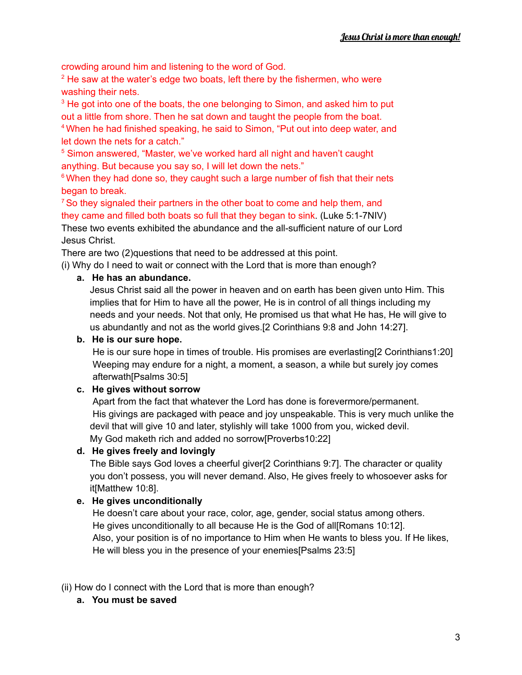crowding around him and listening to the word of God.

 $2$  He saw at the water's edge two boats, left there by the fishermen, who were washing their nets.

<sup>3</sup> He got into one of the boats, the one belonging to Simon, and asked him to put out a little from shore. Then he sat down and taught the people from the boat.

<sup>4</sup> When he had finished speaking, he said to Simon, "Put out into deep water, and let down the nets for a catch."

<sup>5</sup> Simon answered, "Master, we've worked hard all night and haven't caught anything. But because you say so, I will let down the nets."

 $6$  When they had done so, they caught such a large number of fish that their nets began to break.

 $7$  So they signaled their partners in the other boat to come and help them, and they came and filled both boats so full that they began to sink. (Luke 5:1-7NIV) These two events exhibited the abundance and the all-sufficient nature of our Lord Jesus Christ.

There are two (2)questions that need to be addressed at this point.

(i) Why do I need to wait or connect with the Lord that is more than enough?

#### **a. He has an abundance.**

Jesus Christ said all the power in heaven and on earth has been given unto Him. This implies that for Him to have all the power, He is in control of all things including my needs and your needs. Not that only, He promised us that what He has, He will give to us abundantly and not as the world gives.[2 Corinthians 9:8 and John 14:27].

#### **b. He is our sure hope.**

He is our sure hope in times of trouble. His promises are everlasting[2 Corinthians1:20] Weeping may endure for a night, a moment, a season, a while but surely joy comes afterwath[Psalms 30:5]

#### **c. He gives without sorrow**

Apart from the fact that whatever the Lord has done is forevermore/permanent. His givings are packaged with peace and joy unspeakable. This is very much unlike the devil that will give 10 and later, stylishly will take 1000 from you, wicked devil. My God maketh rich and added no sorrow[Proverbs10:22]

#### **d. He gives freely and lovingly**

The Bible says God loves a cheerful giver[2 Corinthians 9:7]. The character or quality you don't possess, you will never demand. Also, He gives freely to whosoever asks for it[Matthew 10:8].

#### **e. He gives unconditionally**

He doesn't care about your race, color, age, gender, social status among others. He gives unconditionally to all because He is the God of all[Romans 10:12]. Also, your position is of no importance to Him when He wants to bless you. If He likes, He will bless you in the presence of your enemies[Psalms 23:5]

(ii) How do I connect with the Lord that is more than enough?

**a. You must be saved**